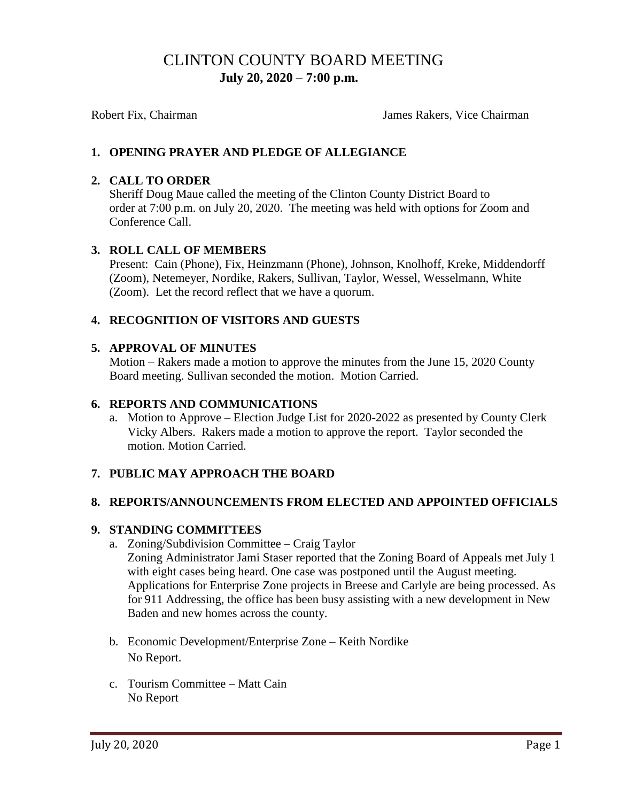# CLINTON COUNTY BOARD MEETING  **July 20, 2020 – 7:00 p.m.**

Robert Fix, Chairman The Chairman James Rakers, Vice Chairman

## **1. OPENING PRAYER AND PLEDGE OF ALLEGIANCE**

### **2. CALL TO ORDER**

Sheriff Doug Maue called the meeting of the Clinton County District Board to order at 7:00 p.m. on July 20, 2020. The meeting was held with options for Zoom and Conference Call.

### **3. ROLL CALL OF MEMBERS**

Present: Cain (Phone), Fix, Heinzmann (Phone), Johnson, Knolhoff, Kreke, Middendorff (Zoom), Netemeyer, Nordike, Rakers, Sullivan, Taylor, Wessel, Wesselmann, White (Zoom). Let the record reflect that we have a quorum.

## **4. RECOGNITION OF VISITORS AND GUESTS**

### **5. APPROVAL OF MINUTES**

Motion – Rakers made a motion to approve the minutes from the June 15, 2020 County Board meeting. Sullivan seconded the motion. Motion Carried.

#### **6. REPORTS AND COMMUNICATIONS**

a. Motion to Approve – Election Judge List for 2020-2022 as presented by County Clerk Vicky Albers. Rakers made a motion to approve the report. Taylor seconded the motion. Motion Carried.

## **7. PUBLIC MAY APPROACH THE BOARD**

#### **8. REPORTS/ANNOUNCEMENTS FROM ELECTED AND APPOINTED OFFICIALS**

#### **9. STANDING COMMITTEES**

- a. Zoning/Subdivision Committee Craig Taylor Zoning Administrator Jami Staser reported that the Zoning Board of Appeals met July 1 with eight cases being heard. One case was postponed until the August meeting. Applications for Enterprise Zone projects in Breese and Carlyle are being processed. As for 911 Addressing, the office has been busy assisting with a new development in New Baden and new homes across the county.
- b. Economic Development/Enterprise Zone Keith Nordike No Report.
- c. Tourism Committee Matt Cain No Report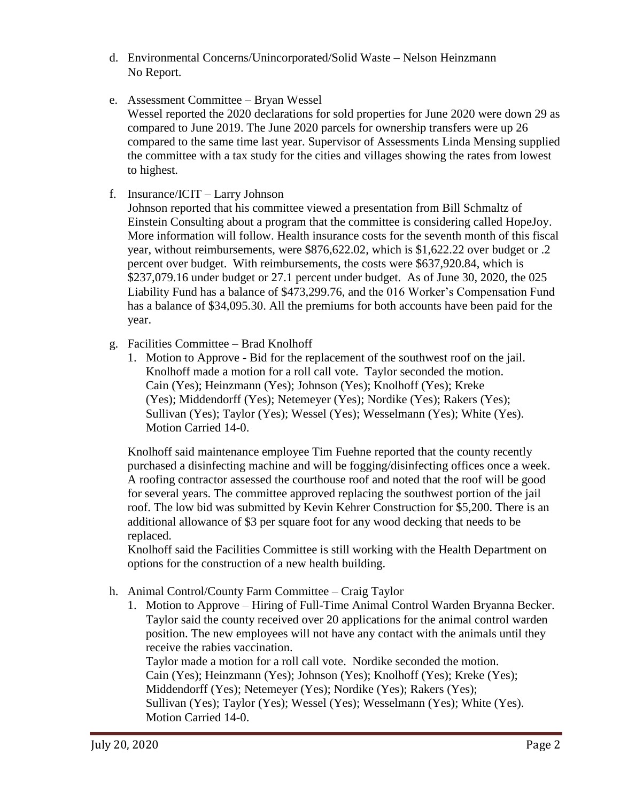- d. Environmental Concerns/Unincorporated/Solid Waste Nelson Heinzmann No Report.
- e. Assessment Committee Bryan Wessel Wessel reported the 2020 declarations for sold properties for June 2020 were down 29 as compared to June 2019. The June 2020 parcels for ownership transfers were up 26 compared to the same time last year. Supervisor of Assessments Linda Mensing supplied the committee with a tax study for the cities and villages showing the rates from lowest to highest.
- f. Insurance/ICIT Larry Johnson

Johnson reported that his committee viewed a presentation from Bill Schmaltz of Einstein Consulting about a program that the committee is considering called HopeJoy. More information will follow. Health insurance costs for the seventh month of this fiscal year, without reimbursements, were \$876,622.02, which is \$1,622.22 over budget or .2 percent over budget. With reimbursements, the costs were \$637,920.84, which is \$237,079.16 under budget or 27.1 percent under budget. As of June 30, 2020, the 025 Liability Fund has a balance of \$473,299.76, and the 016 Worker's Compensation Fund has a balance of \$34,095.30. All the premiums for both accounts have been paid for the year.

- g. Facilities Committee Brad Knolhoff
	- 1. Motion to Approve Bid for the replacement of the southwest roof on the jail. Knolhoff made a motion for a roll call vote. Taylor seconded the motion. Cain (Yes); Heinzmann (Yes); Johnson (Yes); Knolhoff (Yes); Kreke (Yes); Middendorff (Yes); Netemeyer (Yes); Nordike (Yes); Rakers (Yes); Sullivan (Yes); Taylor (Yes); Wessel (Yes); Wesselmann (Yes); White (Yes). Motion Carried 14-0.

Knolhoff said maintenance employee Tim Fuehne reported that the county recently purchased a disinfecting machine and will be fogging/disinfecting offices once a week. A roofing contractor assessed the courthouse roof and noted that the roof will be good for several years. The committee approved replacing the southwest portion of the jail roof. The low bid was submitted by Kevin Kehrer Construction for \$5,200. There is an additional allowance of \$3 per square foot for any wood decking that needs to be replaced.

Knolhoff said the Facilities Committee is still working with the Health Department on options for the construction of a new health building.

- h. Animal Control/County Farm Committee Craig Taylor
	- 1. Motion to Approve Hiring of Full-Time Animal Control Warden Bryanna Becker. Taylor said the county received over 20 applications for the animal control warden position. The new employees will not have any contact with the animals until they receive the rabies vaccination.

Taylor made a motion for a roll call vote. Nordike seconded the motion. Cain (Yes); Heinzmann (Yes); Johnson (Yes); Knolhoff (Yes); Kreke (Yes); Middendorff (Yes); Netemeyer (Yes); Nordike (Yes); Rakers (Yes); Sullivan (Yes); Taylor (Yes); Wessel (Yes); Wesselmann (Yes); White (Yes). Motion Carried 14-0.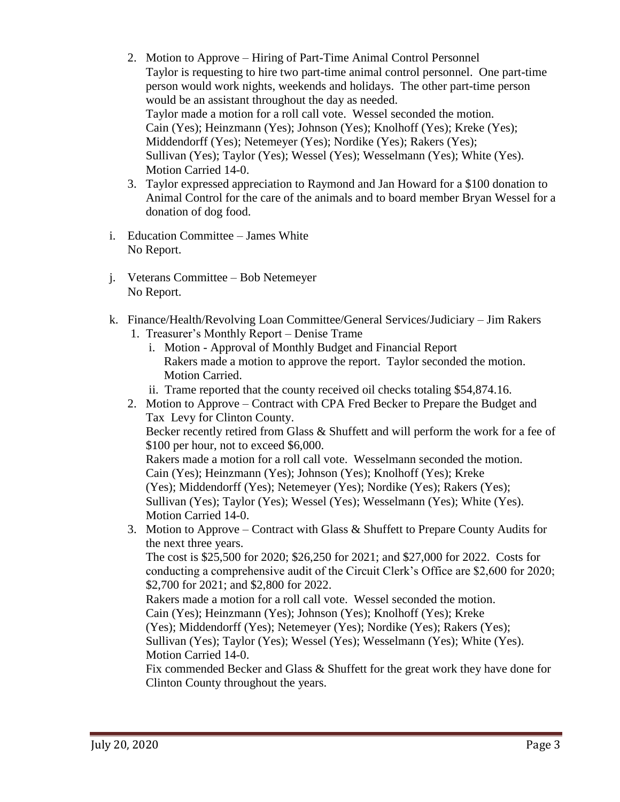- 2. Motion to Approve Hiring of Part-Time Animal Control Personnel Taylor is requesting to hire two part-time animal control personnel. One part-time person would work nights, weekends and holidays. The other part-time person would be an assistant throughout the day as needed. Taylor made a motion for a roll call vote. Wessel seconded the motion. Cain (Yes); Heinzmann (Yes); Johnson (Yes); Knolhoff (Yes); Kreke (Yes); Middendorff (Yes); Netemeyer (Yes); Nordike (Yes); Rakers (Yes); Sullivan (Yes); Taylor (Yes); Wessel (Yes); Wesselmann (Yes); White (Yes). Motion Carried 14-0.
- 3. Taylor expressed appreciation to Raymond and Jan Howard for a \$100 donation to Animal Control for the care of the animals and to board member Bryan Wessel for a donation of dog food.
- i. Education Committee James White No Report.
- j. Veterans Committee Bob Netemeyer No Report.
- k. Finance/Health/Revolving Loan Committee/General Services/Judiciary Jim Rakers 1. Treasurer's Monthly Report – Denise Trame
	- i. Motion Approval of Monthly Budget and Financial Report Rakers made a motion to approve the report. Taylor seconded the motion. Motion Carried.
	- ii. Trame reported that the county received oil checks totaling \$54,874.16.
	- 2. Motion to Approve Contract with CPA Fred Becker to Prepare the Budget and Tax Levy for Clinton County. Becker recently retired from Glass & Shuffett and will perform the work for a fee of \$100 per hour, not to exceed \$6,000. Rakers made a motion for a roll call vote. Wesselmann seconded the motion. Cain (Yes); Heinzmann (Yes); Johnson (Yes); Knolhoff (Yes); Kreke (Yes); Middendorff (Yes); Netemeyer (Yes); Nordike (Yes); Rakers (Yes); Sullivan (Yes); Taylor (Yes); Wessel (Yes); Wesselmann (Yes); White (Yes). Motion Carried 14-0. 3. Motion to Approve – Contract with Glass & Shuffett to Prepare County Audits for the next three years. The cost is \$25,500 for 2020; \$26,250 for 2021; and \$27,000 for 2022. Costs for conducting a comprehensive audit of the Circuit Clerk's Office are \$2,600 for 2020; \$2,700 for 2021; and \$2,800 for 2022. Rakers made a motion for a roll call vote. Wessel seconded the motion. Cain (Yes); Heinzmann (Yes); Johnson (Yes); Knolhoff (Yes); Kreke (Yes); Middendorff (Yes); Netemeyer (Yes); Nordike (Yes); Rakers (Yes);

 Sullivan (Yes); Taylor (Yes); Wessel (Yes); Wesselmann (Yes); White (Yes). Motion Carried 14-0.

Fix commended Becker and Glass & Shuffett for the great work they have done for Clinton County throughout the years.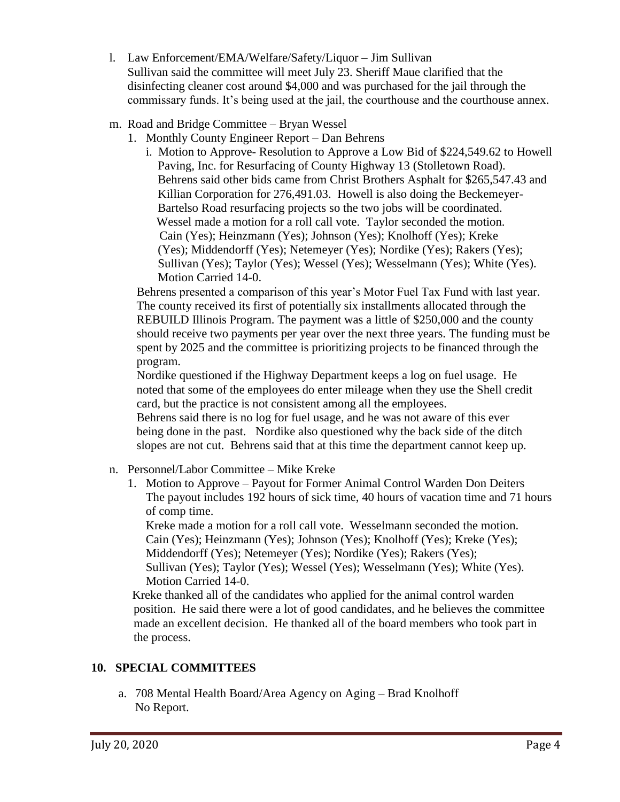- l. Law Enforcement/EMA/Welfare/Safety/Liquor Jim Sullivan Sullivan said the committee will meet July 23. Sheriff Maue clarified that the disinfecting cleaner cost around \$4,000 and was purchased for the jail through the commissary funds. It's being used at the jail, the courthouse and the courthouse annex.
- m. Road and Bridge Committee Bryan Wessel
	- 1. Monthly County Engineer Report Dan Behrens
		- i. Motion to Approve- Resolution to Approve a Low Bid of \$224,549.62 to Howell Paving, Inc. for Resurfacing of County Highway 13 (Stolletown Road). Behrens said other bids came from Christ Brothers Asphalt for \$265,547.43 and Killian Corporation for 276,491.03. Howell is also doing the Beckemeyer- Bartelso Road resurfacing projects so the two jobs will be coordinated. Wessel made a motion for a roll call vote. Taylor seconded the motion. Cain (Yes); Heinzmann (Yes); Johnson (Yes); Knolhoff (Yes); Kreke (Yes); Middendorff (Yes); Netemeyer (Yes); Nordike (Yes); Rakers (Yes); Sullivan (Yes); Taylor (Yes); Wessel (Yes); Wesselmann (Yes); White (Yes). Motion Carried 14-0.

Behrens presented a comparison of this year's Motor Fuel Tax Fund with last year. The county received its first of potentially six installments allocated through the REBUILD Illinois Program. The payment was a little of \$250,000 and the county should receive two payments per year over the next three years. The funding must be spent by 2025 and the committee is prioritizing projects to be financed through the program.

Nordike questioned if the Highway Department keeps a log on fuel usage. He noted that some of the employees do enter mileage when they use the Shell credit card, but the practice is not consistent among all the employees.

Behrens said there is no log for fuel usage, and he was not aware of this ever being done in the past. Nordike also questioned why the back side of the ditch slopes are not cut. Behrens said that at this time the department cannot keep up.

- n. Personnel/Labor Committee Mike Kreke
	- 1. Motion to Approve Payout for Former Animal Control Warden Don Deiters The payout includes 192 hours of sick time, 40 hours of vacation time and 71 hours of comp time.

Kreke made a motion for a roll call vote. Wesselmann seconded the motion. Cain (Yes); Heinzmann (Yes); Johnson (Yes); Knolhoff (Yes); Kreke (Yes); Middendorff (Yes); Netemeyer (Yes); Nordike (Yes); Rakers (Yes); Sullivan (Yes); Taylor (Yes); Wessel (Yes); Wesselmann (Yes); White (Yes). Motion Carried 14-0.

Kreke thanked all of the candidates who applied for the animal control warden position. He said there were a lot of good candidates, and he believes the committee made an excellent decision. He thanked all of the board members who took part in the process.

## **10. SPECIAL COMMITTEES**

a. 708 Mental Health Board/Area Agency on Aging – Brad Knolhoff No Report.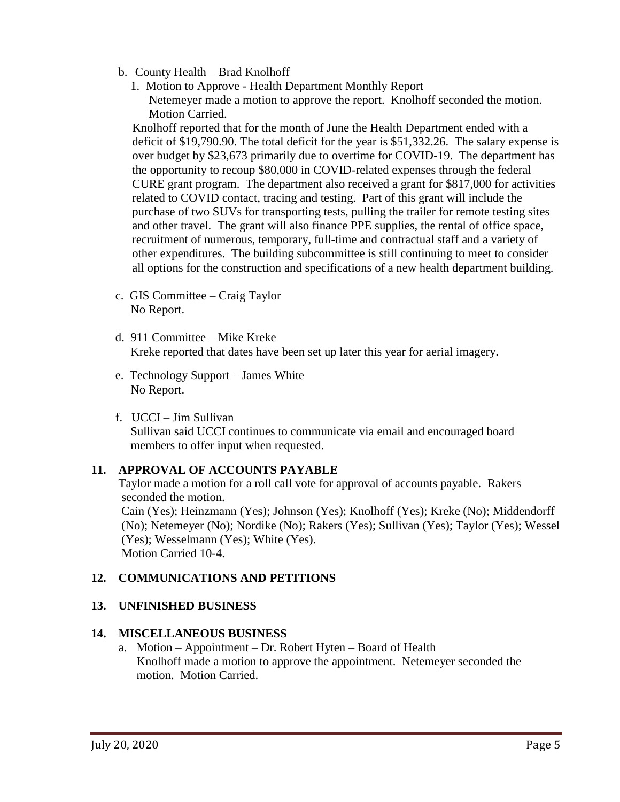- b. County Health Brad Knolhoff
	- 1. Motion to Approve Health Department Monthly Report Netemeyer made a motion to approve the report. Knolhoff seconded the motion. Motion Carried.

Knolhoff reported that for the month of June the Health Department ended with a deficit of \$19,790.90. The total deficit for the year is \$51,332.26. The salary expense is over budget by \$23,673 primarily due to overtime for COVID-19. The department has the opportunity to recoup \$80,000 in COVID-related expenses through the federal CURE grant program. The department also received a grant for \$817,000 for activities related to COVID contact, tracing and testing. Part of this grant will include the purchase of two SUVs for transporting tests, pulling the trailer for remote testing sites and other travel. The grant will also finance PPE supplies, the rental of office space, recruitment of numerous, temporary, full-time and contractual staff and a variety of other expenditures. The building subcommittee is still continuing to meet to consider all options for the construction and specifications of a new health department building.

- c. GIS Committee Craig Taylor No Report.
- d. 911 Committee Mike Kreke Kreke reported that dates have been set up later this year for aerial imagery.
- e. Technology Support James White No Report.
- f. UCCI Jim Sullivan Sullivan said UCCI continues to communicate via email and encouraged board members to offer input when requested.

## **11. APPROVAL OF ACCOUNTS PAYABLE**

Taylor made a motion for a roll call vote for approval of accounts payable. Rakers seconded the motion.

Cain (Yes); Heinzmann (Yes); Johnson (Yes); Knolhoff (Yes); Kreke (No); Middendorff (No); Netemeyer (No); Nordike (No); Rakers (Yes); Sullivan (Yes); Taylor (Yes); Wessel (Yes); Wesselmann (Yes); White (Yes). Motion Carried 10-4.

## **12. COMMUNICATIONS AND PETITIONS**

## **13. UNFINISHED BUSINESS**

## **14. MISCELLANEOUS BUSINESS**

a. Motion – Appointment – Dr. Robert Hyten – Board of Health Knolhoff made a motion to approve the appointment. Netemeyer seconded the motion. Motion Carried.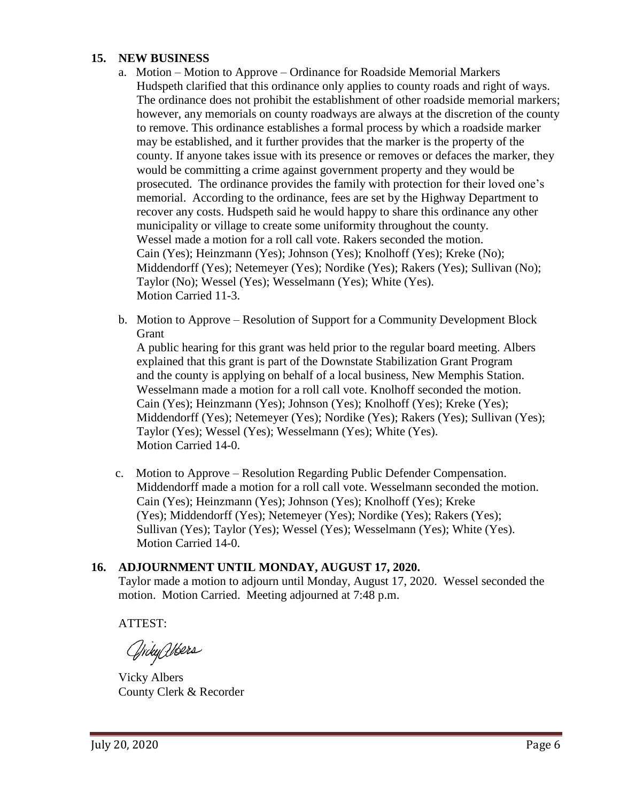### **15. NEW BUSINESS**

- a. Motion Motion to Approve Ordinance for Roadside Memorial Markers Hudspeth clarified that this ordinance only applies to county roads and right of ways. The ordinance does not prohibit the establishment of other roadside memorial markers; however, any memorials on county roadways are always at the discretion of the county to remove. This ordinance establishes a formal process by which a roadside marker may be established, and it further provides that the marker is the property of the county. If anyone takes issue with its presence or removes or defaces the marker, they would be committing a crime against government property and they would be prosecuted. The ordinance provides the family with protection for their loved one's memorial. According to the ordinance, fees are set by the Highway Department to recover any costs. Hudspeth said he would happy to share this ordinance any other municipality or village to create some uniformity throughout the county. Wessel made a motion for a roll call vote. Rakers seconded the motion. Cain (Yes); Heinzmann (Yes); Johnson (Yes); Knolhoff (Yes); Kreke (No); Middendorff (Yes); Netemeyer (Yes); Nordike (Yes); Rakers (Yes); Sullivan (No); Taylor (No); Wessel (Yes); Wesselmann (Yes); White (Yes). Motion Carried 11-3.
- b. Motion to Approve Resolution of Support for a Community Development Block Grant

 A public hearing for this grant was held prior to the regular board meeting. Albers explained that this grant is part of the Downstate Stabilization Grant Program and the county is applying on behalf of a local business, New Memphis Station. Wesselmann made a motion for a roll call vote. Knolhoff seconded the motion. Cain (Yes); Heinzmann (Yes); Johnson (Yes); Knolhoff (Yes); Kreke (Yes); Middendorff (Yes); Netemeyer (Yes); Nordike (Yes); Rakers (Yes); Sullivan (Yes); Taylor (Yes); Wessel (Yes); Wesselmann (Yes); White (Yes). Motion Carried 14-0.

 c. Motion to Approve – Resolution Regarding Public Defender Compensation. Middendorff made a motion for a roll call vote. Wesselmann seconded the motion. Cain (Yes); Heinzmann (Yes); Johnson (Yes); Knolhoff (Yes); Kreke (Yes); Middendorff (Yes); Netemeyer (Yes); Nordike (Yes); Rakers (Yes); Sullivan (Yes); Taylor (Yes); Wessel (Yes); Wesselmann (Yes); White (Yes). Motion Carried 14-0.

## **16. ADJOURNMENT UNTIL MONDAY, AUGUST 17, 2020.** Taylor made a motion to adjourn until Monday, August 17, 2020. Wessel seconded the motion. Motion Carried. Meeting adjourned at 7:48 p.m.

ATTEST:

Griky Weers

Vicky Albers County Clerk & Recorder